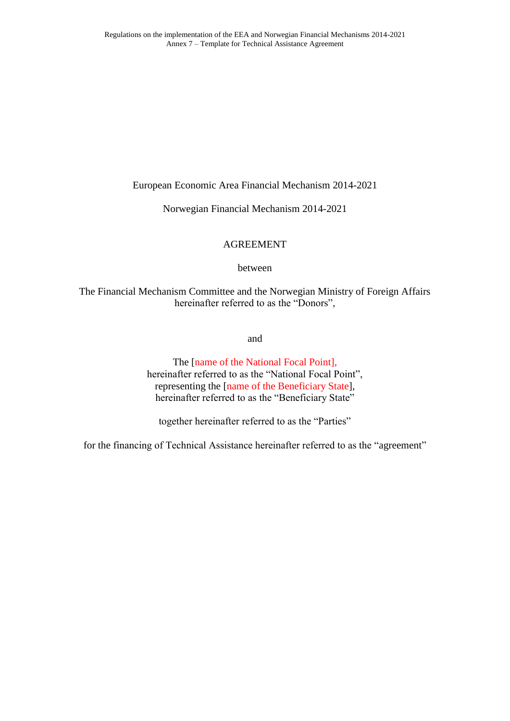European Economic Area Financial Mechanism 2014-2021

Norwegian Financial Mechanism 2014-2021

# AGREEMENT

# between

The Financial Mechanism Committee and the Norwegian Ministry of Foreign Affairs hereinafter referred to as the "Donors",

and

The [name of the National Focal Point], hereinafter referred to as the "National Focal Point", representing the [name of the Beneficiary State], hereinafter referred to as the "Beneficiary State"

together hereinafter referred to as the "Parties"

for the financing of Technical Assistance hereinafter referred to as the "agreement"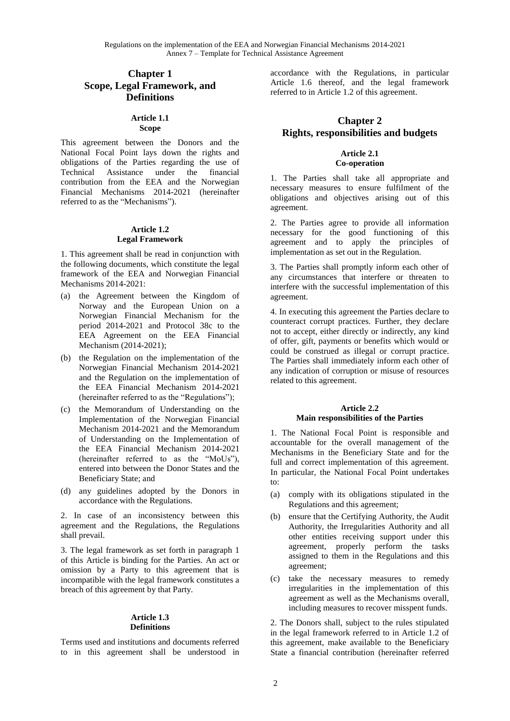Regulations on the implementation of the EEA and Norwegian Financial Mechanisms 2014-2021 Annex 7 – Template for Technical Assistance Agreement

# **Chapter 1 Scope, Legal Framework, and Definitions**

### **Article 1.1 Scope**

This agreement between the Donors and the National Focal Point lays down the rights and obligations of the Parties regarding the use of Technical Assistance under the financial contribution from the EEA and the Norwegian Financial Mechanisms 2014-2021 (hereinafter referred to as the "Mechanisms").

#### **Article 1.2 Legal Framework**

1. This agreement shall be read in conjunction with the following documents, which constitute the legal framework of the EEA and Norwegian Financial Mechanisms 2014-2021:

- (a) the Agreement between the Kingdom of Norway and the European Union on a Norwegian Financial Mechanism for the period 2014-2021 and Protocol 38c to the EEA Agreement on the EEA Financial Mechanism (2014-2021);
- (b) the Regulation on the implementation of the Norwegian Financial Mechanism 2014-2021 and the Regulation on the implementation of the EEA Financial Mechanism 2014-2021 (hereinafter referred to as the "Regulations");
- (c) the Memorandum of Understanding on the Implementation of the Norwegian Financial Mechanism 2014-2021 and the Memorandum of Understanding on the Implementation of the EEA Financial Mechanism 2014-2021 (hereinafter referred to as the "MoUs"), entered into between the Donor States and the Beneficiary State; and
- (d) any guidelines adopted by the Donors in accordance with the Regulations.

2. In case of an inconsistency between this agreement and the Regulations, the Regulations shall prevail.

3. The legal framework as set forth in paragraph 1 of this Article is binding for the Parties. An act or omission by a Party to this agreement that is incompatible with the legal framework constitutes a breach of this agreement by that Party.

#### **Article 1.3 Definitions**

Terms used and institutions and documents referred to in this agreement shall be understood in accordance with the Regulations, in particular Article 1.6 thereof, and the legal framework referred to in Article 1.2 of this agreement.

# **Chapter 2 Rights, responsibilities and budgets**

## **Article 2.1 Co-operation**

1. The Parties shall take all appropriate and necessary measures to ensure fulfilment of the obligations and objectives arising out of this agreement.

2. The Parties agree to provide all information necessary for the good functioning of this agreement and to apply the principles of implementation as set out in the Regulation.

3. The Parties shall promptly inform each other of any circumstances that interfere or threaten to interfere with the successful implementation of this agreement.

4. In executing this agreement the Parties declare to counteract corrupt practices. Further, they declare not to accept, either directly or indirectly, any kind of offer, gift, payments or benefits which would or could be construed as illegal or corrupt practice. The Parties shall immediately inform each other of any indication of corruption or misuse of resources related to this agreement.

#### **Article 2.2 Main responsibilities of the Parties**

1. The National Focal Point is responsible and accountable for the overall management of the Mechanisms in the Beneficiary State and for the full and correct implementation of this agreement. In particular, the National Focal Point undertakes to:

- (a) comply with its obligations stipulated in the Regulations and this agreement;
- (b) ensure that the Certifying Authority, the Audit Authority, the Irregularities Authority and all other entities receiving support under this agreement, properly perform the tasks assigned to them in the Regulations and this agreement;
- (c) take the necessary measures to remedy irregularities in the implementation of this agreement as well as the Mechanisms overall, including measures to recover misspent funds.

2. The Donors shall, subject to the rules stipulated in the legal framework referred to in Article 1.2 of this agreement, make available to the Beneficiary State a financial contribution (hereinafter referred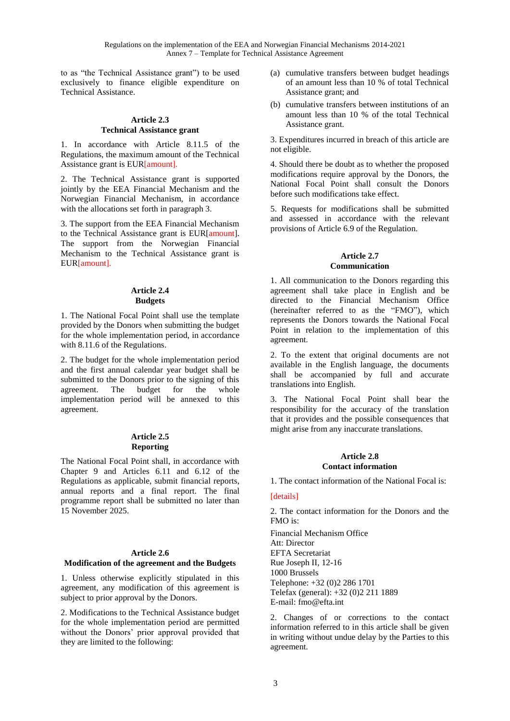to as "the Technical Assistance grant") to be used exclusively to finance eligible expenditure on Technical Assistance.

## **Article 2.3 Technical Assistance grant**

1. In accordance with Article 8.11.5 of the Regulations, the maximum amount of the Technical Assistance grant is EUR[amount].

2. The Technical Assistance grant is supported jointly by the EEA Financial Mechanism and the Norwegian Financial Mechanism, in accordance with the allocations set forth in paragraph 3.

3. The support from the EEA Financial Mechanism to the Technical Assistance grant is EUR[amount]. The support from the Norwegian Financial Mechanism to the Technical Assistance grant is EUR[amount].

## **Article 2.4 Budgets**

1. The National Focal Point shall use the template provided by the Donors when submitting the budget for the whole implementation period, in accordance with 8.11.6 of the Regulations.

2. The budget for the whole implementation period and the first annual calendar year budget shall be submitted to the Donors prior to the signing of this agreement. The budget for the whole implementation period will be annexed to this agreement.

### **Article 2.5 Reporting**

The National Focal Point shall, in accordance with Chapter 9 and Articles 6.11 and 6.12 of the Regulations as applicable, submit financial reports, annual reports and a final report. The final programme report shall be submitted no later than 15 November 2025.

## **Article 2.6**

## **Modification of the agreement and the Budgets**

1. Unless otherwise explicitly stipulated in this agreement, any modification of this agreement is subject to prior approval by the Donors.

2. Modifications to the Technical Assistance budget for the whole implementation period are permitted without the Donors' prior approval provided that they are limited to the following:

- (a) cumulative transfers between budget headings of an amount less than 10 % of total Technical Assistance grant; and
- (b) cumulative transfers between institutions of an amount less than 10 % of the total Technical Assistance grant.

3. Expenditures incurred in breach of this article are not eligible.

4. Should there be doubt as to whether the proposed modifications require approval by the Donors, the National Focal Point shall consult the Donors before such modifications take effect.

5. Requests for modifications shall be submitted and assessed in accordance with the relevant provisions of Article 6.9 of the Regulation.

## **Article 2.7 Communication**

1. All communication to the Donors regarding this agreement shall take place in English and be directed to the Financial Mechanism Office (hereinafter referred to as the "FMO"), which represents the Donors towards the National Focal Point in relation to the implementation of this agreement.

2. To the extent that original documents are not available in the English language, the documents shall be accompanied by full and accurate translations into English.

3. The National Focal Point shall bear the responsibility for the accuracy of the translation that it provides and the possible consequences that might arise from any inaccurate translations.

## **Article 2.8 Contact information**

1. The contact information of the National Focal is:

## [details]

2. The contact information for the Donors and the FMO is:

Financial Mechanism Office Att: Director EFTA Secretariat Rue Joseph II, 12-16 1000 Brussels Telephone: +32 (0)2 286 1701 Telefax (general): +32 (0)2 211 1889 E-mail: [fmo@efta.int](mailto:fmo@efta.int)

2. Changes of or corrections to the contact information referred to in this article shall be given in writing without undue delay by the Parties to this agreement.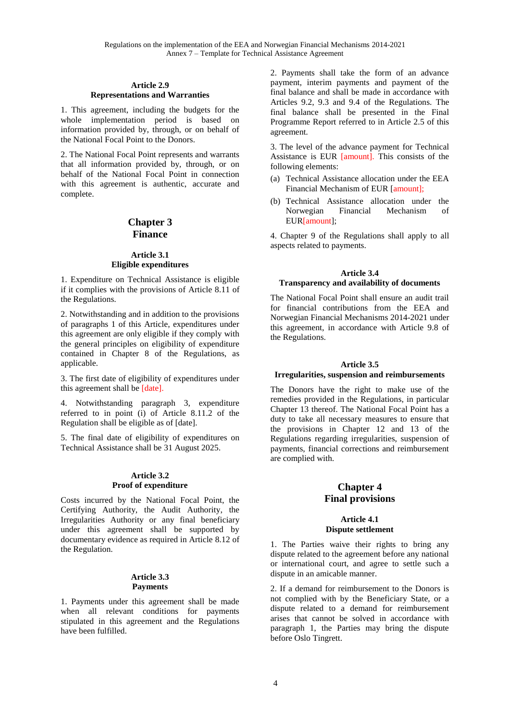### **Article 2.9 Representations and Warranties**

1. This agreement, including the budgets for the whole implementation period is based on information provided by, through, or on behalf of the National Focal Point to the Donors.

2. The National Focal Point represents and warrants that all information provided by, through, or on behalf of the National Focal Point in connection with this agreement is authentic, accurate and complete.

# **Chapter 3 Finance**

## **Article 3.1 Eligible expenditures**

1. Expenditure on Technical Assistance is eligible if it complies with the provisions of Article 8.11 of the Regulations.

2. Notwithstanding and in addition to the provisions of paragraphs 1 of this Article, expenditures under this agreement are only eligible if they comply with the general principles on eligibility of expenditure contained in Chapter 8 of the Regulations, as applicable.

3. The first date of eligibility of expenditures under this agreement shall be [date].

4. Notwithstanding paragraph 3, expenditure referred to in point (i) of Article 8.11.2 of the Regulation shall be eligible as of [date].

5. The final date of eligibility of expenditures on Technical Assistance shall be 31 August 2025.

### **Article 3.2 Proof of expenditure**

Costs incurred by the National Focal Point, the Certifying Authority, the Audit Authority, the Irregularities Authority or any final beneficiary under this agreement shall be supported by documentary evidence as required in Article 8.12 of the Regulation.

## **Article 3.3 Payments**

1. Payments under this agreement shall be made when all relevant conditions for payments stipulated in this agreement and the Regulations have been fulfilled.

2. Payments shall take the form of an advance payment, interim payments and payment of the final balance and shall be made in accordance with Articles 9.2, 9.3 and 9.4 of the Regulations. The final balance shall be presented in the Final Programme Report referred to in Article 2.5 of this agreement.

3. The level of the advance payment for Technical Assistance is EUR [amount]. This consists of the following elements:

- (a) Technical Assistance allocation under the EEA Financial Mechanism of EUR [amount];
- (b) Technical Assistance allocation under the<br>Norwegian Financial Mechanism of Norwegian Financial Mechanism of EUR[amount];

4. Chapter 9 of the Regulations shall apply to all aspects related to payments.

### **Article 3.4 Transparency and availability of documents**

The National Focal Point shall ensure an audit trail for financial contributions from the EEA and Norwegian Financial Mechanisms 2014-2021 under this agreement, in accordance with Article 9.8 of the Regulations.

## **Article 3.5**

## **Irregularities, suspension and reimbursements**

The Donors have the right to make use of the remedies provided in the Regulations, in particular Chapter 13 thereof. The National Focal Point has a duty to take all necessary measures to ensure that the provisions in Chapter 12 and 13 of the Regulations regarding irregularities, suspension of payments, financial corrections and reimbursement are complied with.

# **Chapter 4 Final provisions**

### **Article 4.1 Dispute settlement**

1. The Parties waive their rights to bring any dispute related to the agreement before any national or international court, and agree to settle such a dispute in an amicable manner.

2. If a demand for reimbursement to the Donors is not complied with by the Beneficiary State, or a dispute related to a demand for reimbursement arises that cannot be solved in accordance with paragraph 1, the Parties may bring the dispute before Oslo Tingrett.